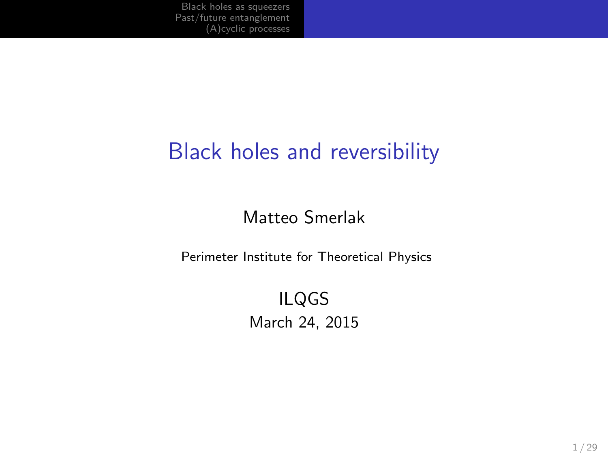### Black holes and reversibility

### Matteo Smerlak

Perimeter Institute for Theoretical Physics

ILQGS March 24, 2015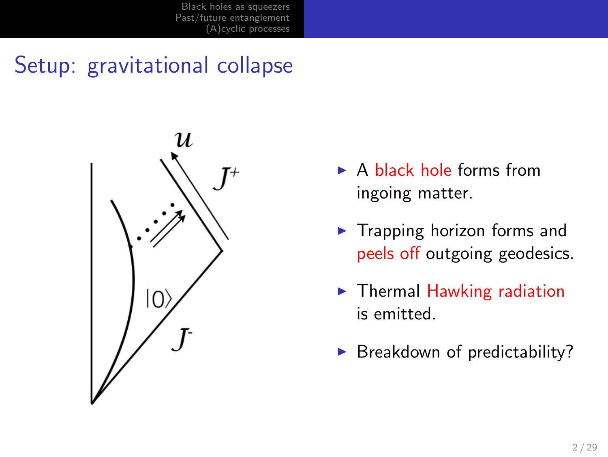### Setup: gravitational collapse



- ▶ A black hole forms from ingoing matter.
- ▶ Trapping horizon forms and peels off outgoing geodesics.
- ▶ Thermal Hawking radiation is emitted.
- $\blacktriangleright$  Breakdown of predictability?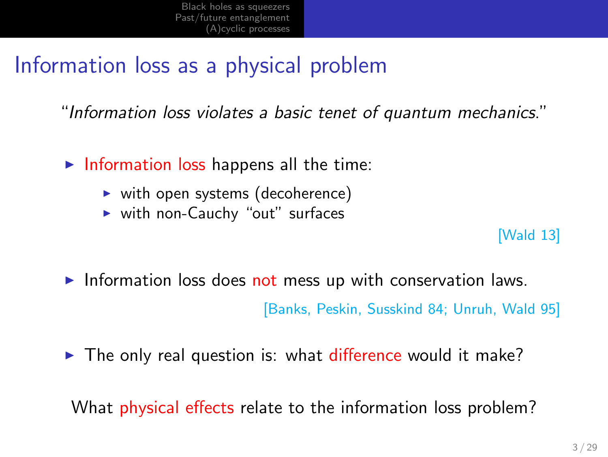### Information loss as a physical problem

"*Information loss violates a basic tenet of quantum mechanics*."

- ▶ Information loss happens all the time:
	- ▶ with open systems (decoherence)
	- ▶ with non-Cauchy "out" surfaces

#### [Wald 13]

▶ Information loss does not mess up with conservation laws.

[Banks, Peskin, Susskind 84; Unruh, Wald 95]

▶ The only real question is: what difference would it make?

What physical effects relate to the information loss problem?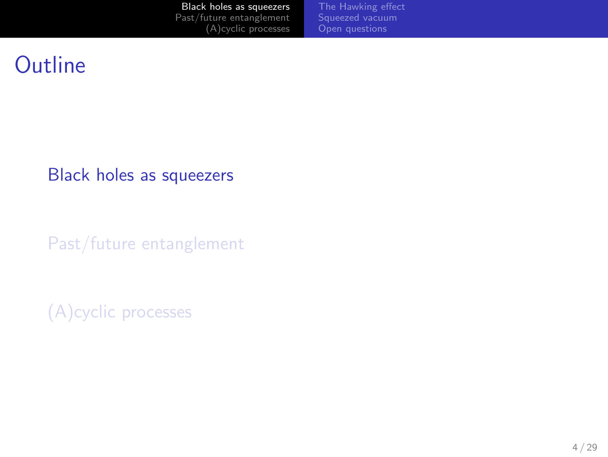Black holes as squeezers Past/future entanglement (A)cyclic processes The Hawking effect Squeezed vacuum Open questions

### **Outline**

Black holes as squeezers

Past/future entanglement

(A)cyclic processes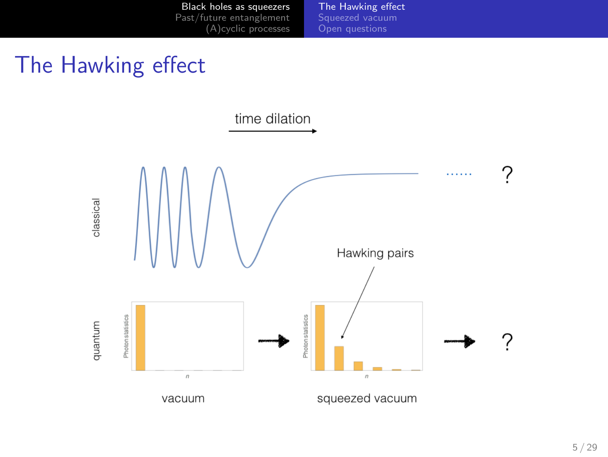

The Hawking effect

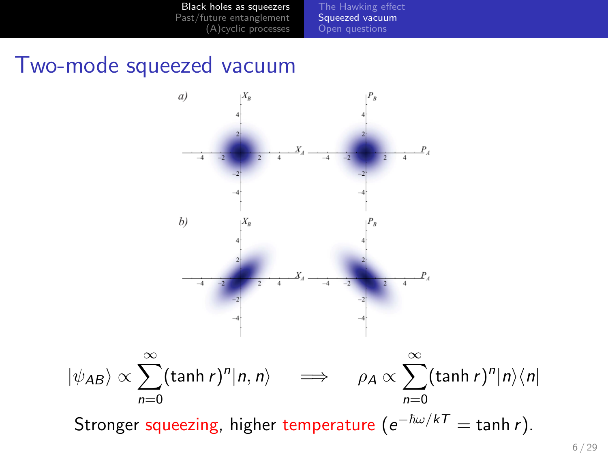



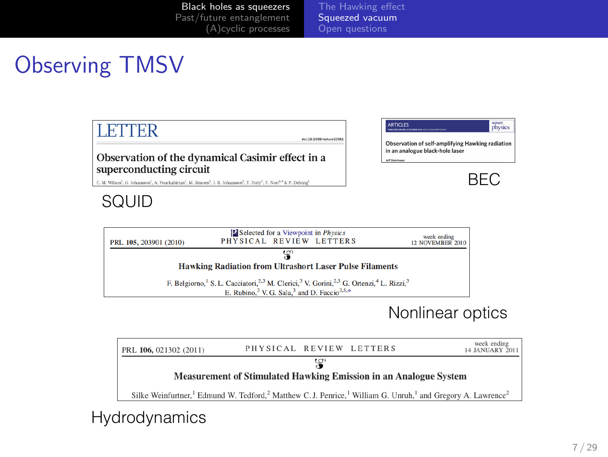The Hawking effect Squeezed vacuum Open questions

### Observing TMSV

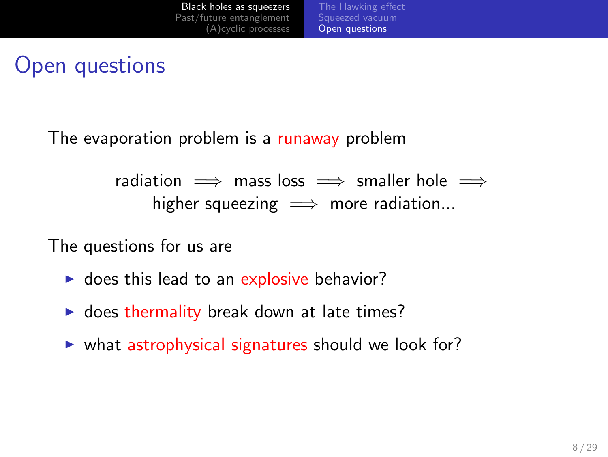#### Black holes as squeezer (A)cyclic processes Squeezed vacuum Open questions

### Open questions

The evaporation problem is a runaway problem

radiation =*⇒* mass loss =*⇒* smaller hole =*⇒* higher squeezing =*⇒* more radiation...

The questions for us are

- ▶ does this lead to an explosive behavior?
- ▶ does thermality break down at late times?
- ▶ what astrophysical signatures should we look for?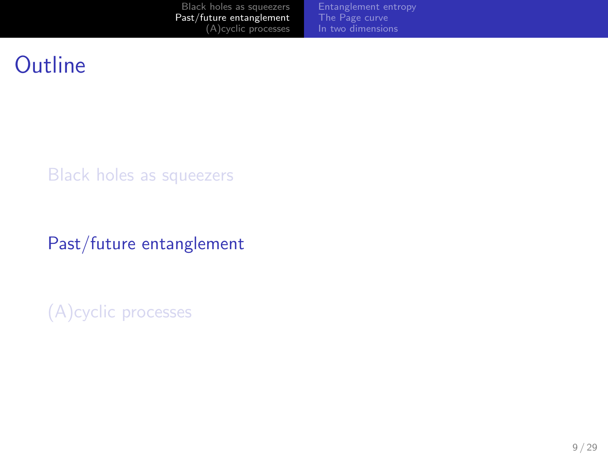Black holes as squeezers Past/future entanglement (A)cyclic processes Entanglement entropy The Page curve In two dimensions

### **Outline**

Black holes as squeezers

Past/future entanglement

(A)cyclic processes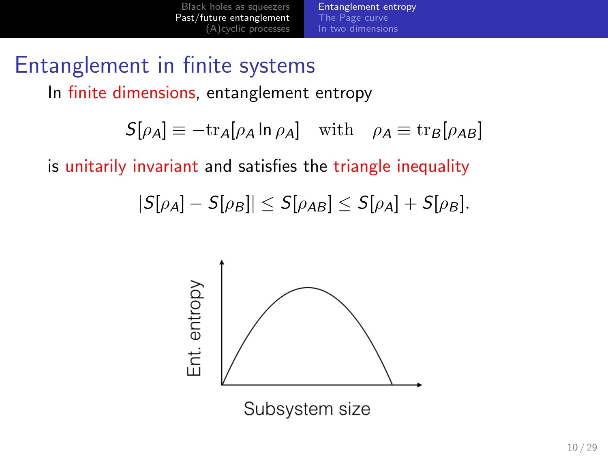## Entanglement in finite systems

In finite dimensions, entanglement entropy

$$
S[\rho_A] \equiv -\text{tr}_A[\rho_A \ln \rho_A] \quad \text{with} \quad \rho_A \equiv \text{tr}_B[\rho_{AB}]
$$

Entanglement entropy In two dimensions

is unitarily invariant and satisfies the triangle inequality

$$
|S[\rho_A]-S[\rho_B]| \leq S[\rho_{AB}] \leq S[\rho_A]+S[\rho_B].
$$



Subsystem size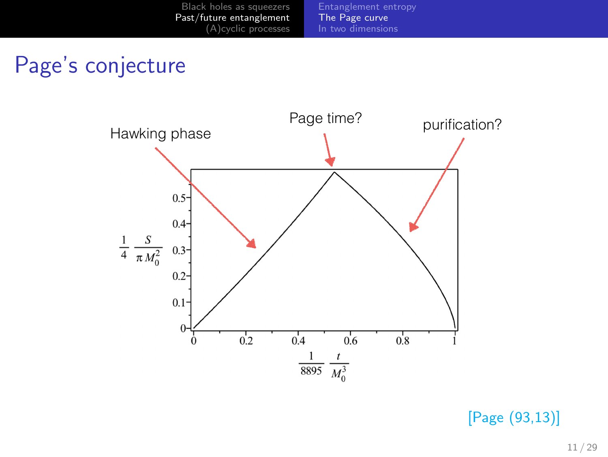Black holes as squeezers Past/future entanglement (A)cyclic processes Entanglement entropy The Page curve In two dimensions

## Page's conjecture



[Page (93,13)]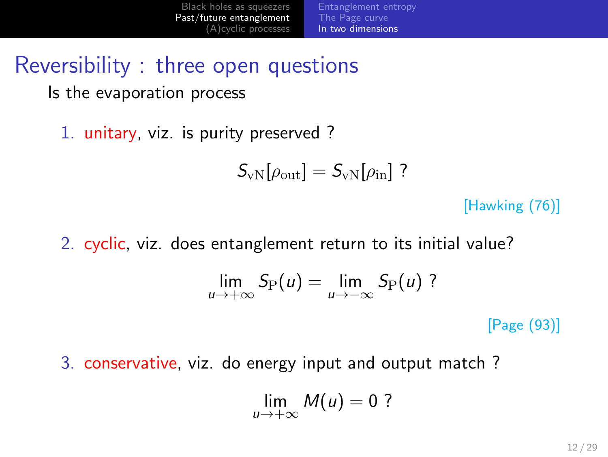#### Black holes as squeezers Past/future entanglement (A)cyclic processes The Page curve In two dimensions

Reversibility : three open questions

Is the evaporation process

1. unitary, viz. is purity preserved ?

$$
S_{\rm vN}[\rho_{\rm out}]=S_{\rm vN}[\rho_{\rm in}]~?
$$

[Hawking (76)]

2. cyclic, viz. does entanglement return to its initial value?

$$
\lim_{u\to+\infty}S_{\mathrm{P}}(u)=\lim_{u\to-\infty}S_{\mathrm{P}}(u)
$$
?

[Page (93)]

3. conservative, viz. do energy input and output match ?

$$
\lim_{u\to+\infty}M(u)=0?
$$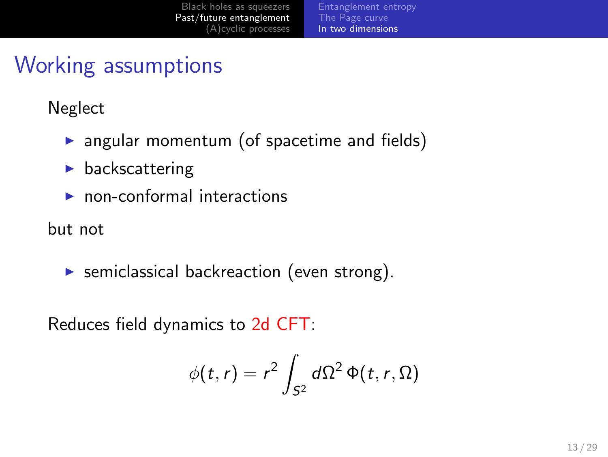The Page curve In two dimensions

### Working assumptions

Neglect

- ▶ angular momentum (of spacetime and fields)
- $\blacktriangleright$  backscattering
- ▶ non-conformal interactions

but not

▶ semiclassical backreaction (even strong).

Reduces field dynamics to 2d CFT:

$$
\phi(t,r)=r^2\int_{S^2}d\Omega^2\,\Phi(t,r,\Omega)
$$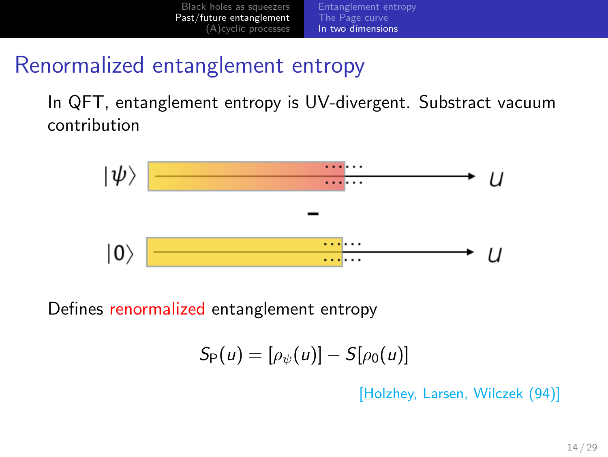

### Renormalized entanglement entropy

In QFT, entanglement entropy is UV-divergent. Substract vacuum contribution



Defines renormalized entanglement entropy

$$
S_P(u)=[\rho_\psi(u)]-S[\rho_0(u)]
$$

[Holzhey, Larsen, Wilczek (94)]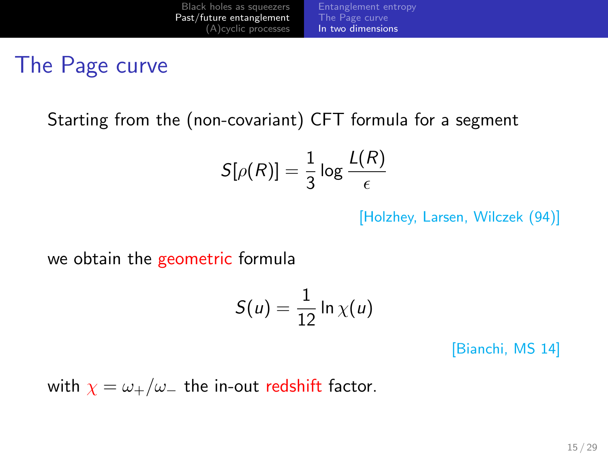### The Page curve

Starting from the (non-covariant) CFT formula for a segment

$$
S[\rho(R)]=\frac{1}{3}\log\frac{L(R)}{\epsilon}
$$

The Page curve In two dimensions

[Holzhey, Larsen, Wilczek (94)]

we obtain the geometric formula

$$
S(u) = \frac{1}{12} \ln \chi(u)
$$

[Bianchi, MS 14]

with  $\chi = \omega_+/\omega_-$  the in-out redshift factor.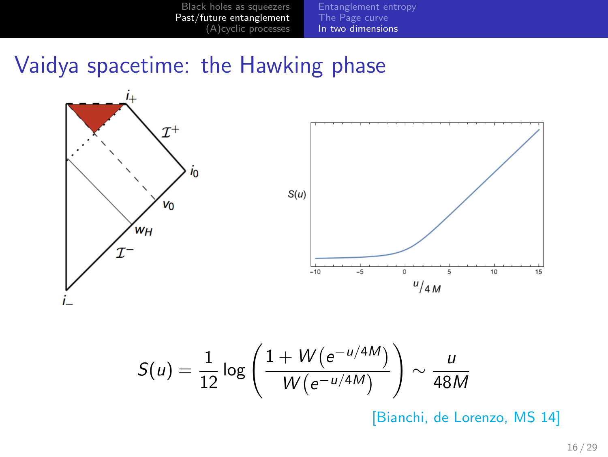#### Black holes as squeezers Past/future entanglement (A)cyclic processes Entanglement entropy The Page curve In two dimensions

# Vaidya spacetime: the Hawking phase



$$
\mu = \frac{1}{12} \log \left( \frac{1 + W(e^{-t})}{W(e^{-t/4M})} \right) \sim \frac{u}{48M}
$$
\n[Bianchi, de Lorenzo, MS 14]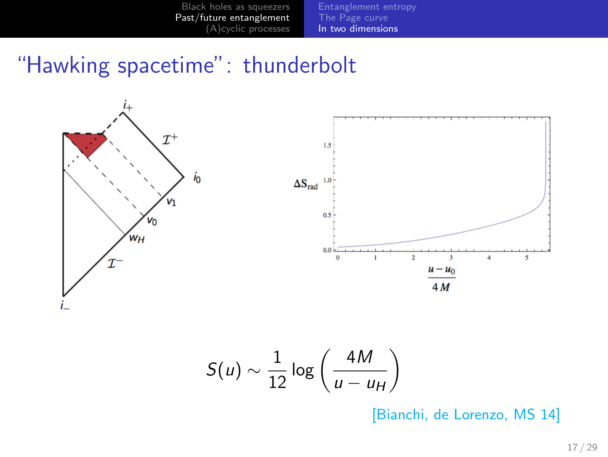#### Black holes as squeezers Past/future entanglement (A)cyclic processes Entanglement entropy The Page curve In two dimensions

## "Hawking spacetime": thunderbolt



[Bianchi, de Lorenzo, MS 14]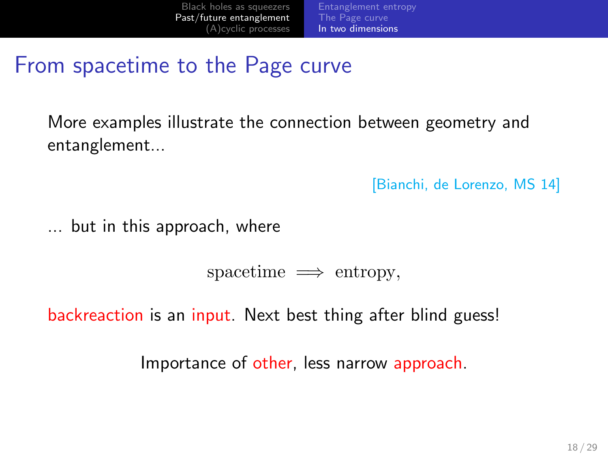### From spacetime to the Page curve

More examples illustrate the connection between geometry and entanglement...

The Page curve In two dimensions

[Bianchi, de Lorenzo, MS 14]

... but in this approach, where

spacetime =*⇒* entropy*,*

backreaction is an input. Next best thing after blind guess!

Importance of other, less narrow approach.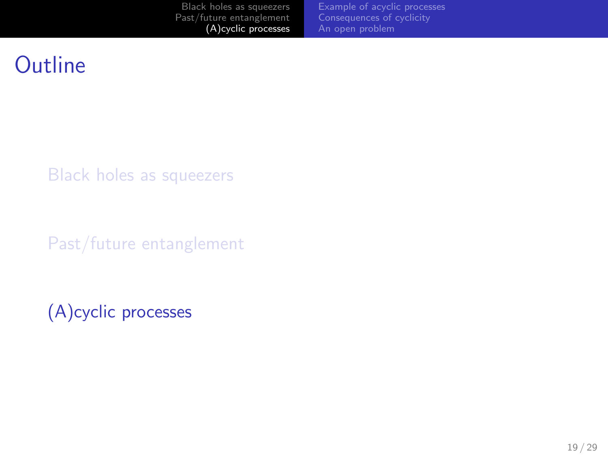Black holes as squeezers Past/future entanglement (A)cyclic processes Example of acyclic processes Consequences of cyclicity An open problem

## **Outline**

Black holes as squeezers

Past/future entanglement

(A)cyclic processes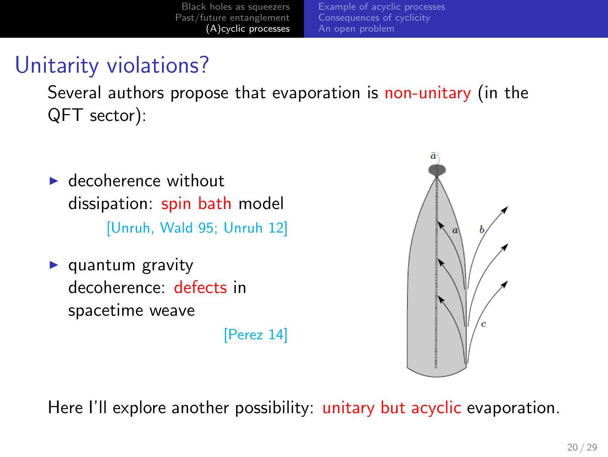Example of acyclic processes Consequences of cyclicity

### Unitarity violations?

Several authors propose that evaporation is non-unitary (in the QFT sector):

- $\blacktriangleright$  decoherence without dissipation: spin bath model [Unruh, Wald 95; Unruh 12]
- $\blacktriangleright$  quantum gravity decoherence: defects in spacetime weave

[Perez 14]



Here I'll explore another possibility: unitary but acyclic evaporation.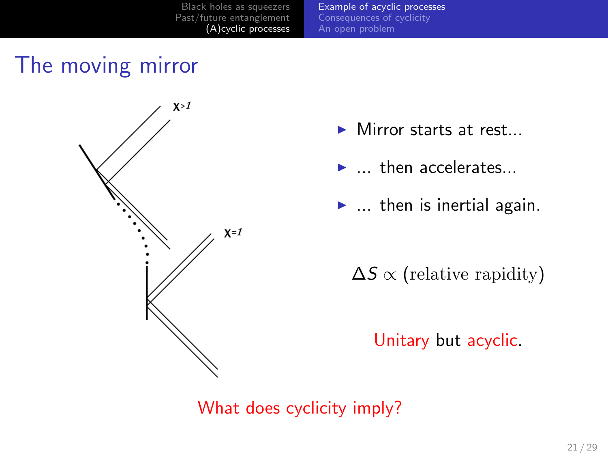Example of acyclic processes Consequences of cyclicity

### The moving mirror



- ▶ Mirror starts at rest...
- ▶ ... then accelerates...
- $\blacktriangleright$  ... then is inertial again.

∆*S ∝* (relative rapidity)

Unitary but acyclic.

What does cyclicity imply?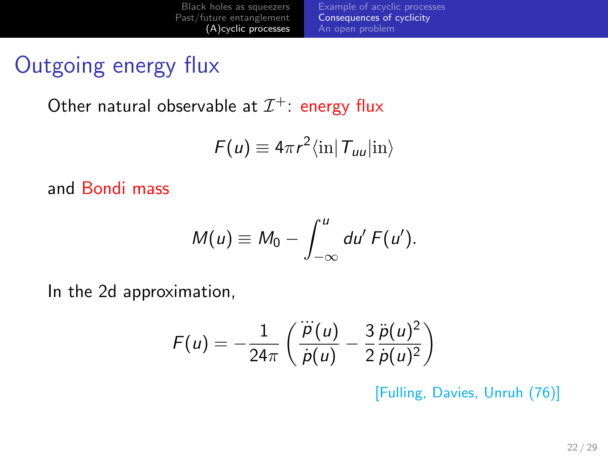Black holes as squeezers Past/future entanglement (A)cyclic processes Example of acyclic processes Consequences of cyclicity An open problem

### Outgoing energy flux

Other natural observable at  $\mathcal{I}^+$ : energy flux

$$
F(u) \equiv 4\pi r^2 \langle \text{in} | T_{uu} | \text{in} \rangle
$$

and Bondi mass

$$
M(u) \equiv M_0 - \int_{-\infty}^{u} du' F(u').
$$

In the 2d approximation,

$$
F(u) = -\frac{1}{24\pi} \left( \frac{\dddot{p}(u)}{\dot{p}(u)} - \frac{3}{2} \frac{\ddot{p}(u)^2}{\dot{p}(u)^2} \right)
$$

[Fulling, Davies, Unruh (76)]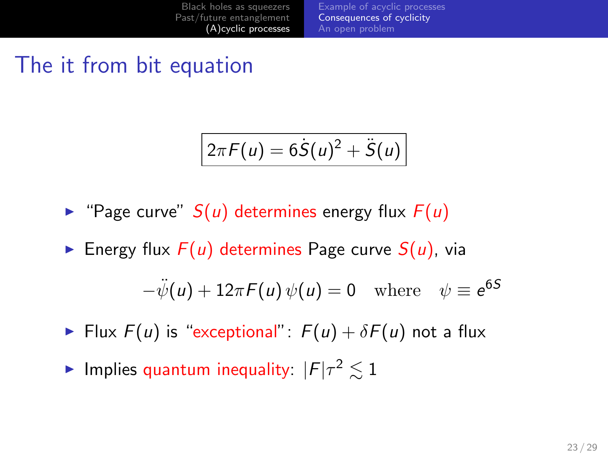# The it from bit equation

$$
2\pi F(u) = 6\dot{S}(u)^2 + \ddot{S}(u)
$$

Example of acyclic processes Consequences of cyclicity An open problem

 $\blacktriangleright$  "Page curve"  $S(u)$  determines energy flux  $F(u)$ 

Black holes as squeezers Past/future entanglement (A)cyclic processes

 $\blacktriangleright$  Energy flux  $F(u)$  determines Page curve  $S(u)$ , via

$$
-\ddot{\psi}(u) + 12\pi F(u)\,\psi(u) = 0 \quad \text{where} \quad \psi \equiv e^{6S}
$$

- ▶ Flux  $F(u)$  is "exceptional":  $F(u) + \delta F(u)$  not a flux
- ▶ Implies quantum inequality:  $|F|\tau^2 \lesssim 1$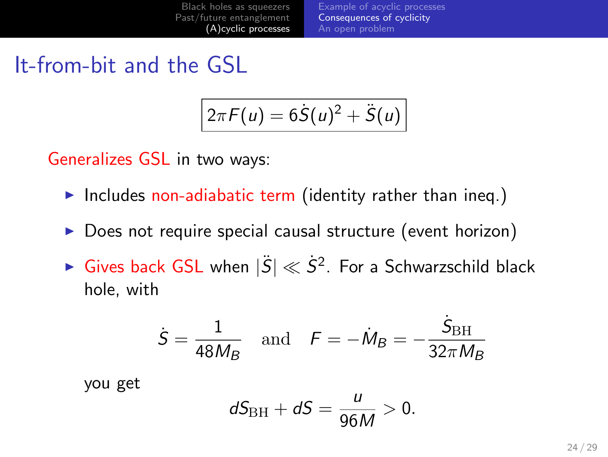Example of acyclic processes Consequences of cyclicity An open problem

It-from-bit and the GSL

$$
2\pi F(u) = 6\dot{S}(u)^2 + \ddot{S}(u)
$$

Generalizes GSL in two ways:

- ▶ Includes non-adiabatic term (identity rather than ineq.)
- ▶ Does not require special causal structure (event horizon)
- ▶ Gives back GSL when  $|\ddot{S}| \ll \dot{S}^2$ . For a Schwarzschild black hole, with

$$
\dot{S} = \frac{1}{48M_B} \quad \text{and} \quad F = -\dot{M}_B = -\frac{\dot{S}_{\text{BH}}}{32\pi M_B}
$$

you get

$$
dS_{\rm BH}+dS=\frac{u}{96M}>0.
$$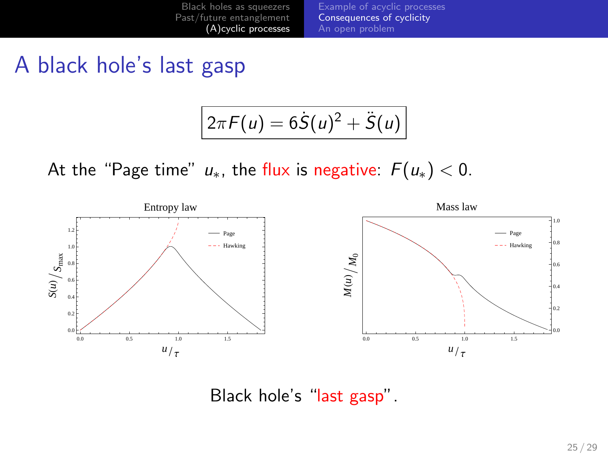

A black hole's last gasp

$$
2\pi F(u) = 6\dot{S}(u)^2 + \ddot{S}(u)
$$

At the "Page time"  $u_*$ , the flux is negative:  $F(u_*) < 0$ .



Black hole's "last gasp".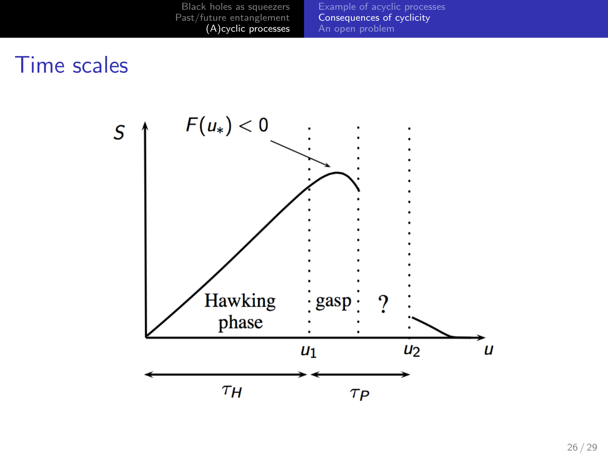

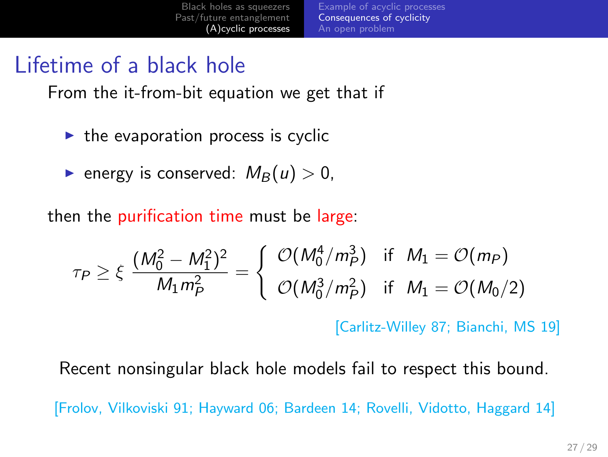#### Black holes as squeezers Past/future entanglement (A)cyclic processes Example of acyclic processes Consequences of cyclicity An open problem

### Lifetime of a black hole

From the it-from-bit equation we get that if

- $\blacktriangleright$  the evaporation process is cyclic
- $\blacktriangleright$  energy is conserved:  $M_B(u) > 0$ ,

then the purification time must be large:

$$
\tau_P \geq \xi \frac{(M_0^2 - M_1^2)^2}{M_1 m_P^2} = \begin{cases} \mathcal{O}(M_0^4 / m_P^3) & \text{if } M_1 = \mathcal{O}(m_P) \\ \mathcal{O}(M_0^3 / m_P^2) & \text{if } M_1 = \mathcal{O}(M_0 / 2) \end{cases}
$$

[Carlitz-Willey 87; Bianchi, MS 19]

Recent nonsingular black hole models fail to respect this bound.

[Frolov, Vilkoviski 91; Hayward 06; Bardeen 14; Rovelli, Vidotto, Haggard 14]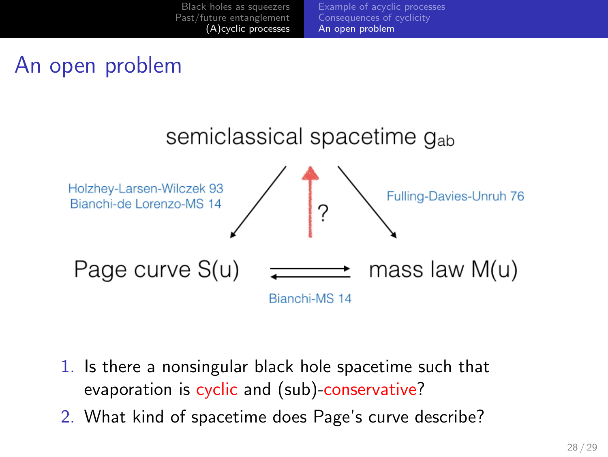



- 1. Is there a nonsingular black hole spacetime such that evaporation is cyclic and (sub)-conservative?
- 2. What kind of spacetime does Page's curve describe?